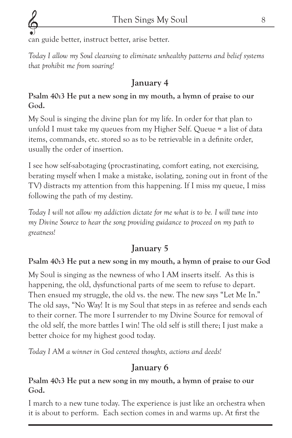can guide better, instruct better, arise better.

*Today I allow my Soul cleansing to eliminate unhealthy patterns and belief systems that prohibit me from soaring!*

# January 4

#### Psalm 40:3 He put a new song in my mouth, a hymn of praise to our God.

My Soul is singing the divine plan for my life. In order for that plan to unfold I must take my queues from my Higher Self. Queue = a list of data items, commands, etc. stored so as to be retrievable in a definite order, usually the order of insertion.

I see how self-sabotaging (procrastinating, comfort eating, not exercising, berating myself when I make a mistake, isolating, zoning out in front of the TV) distracts my attention from this happening. If I miss my queue, I miss following the path of my destiny.

*Today I will not allow my addiction dictate for me what is to be. I will tune into my Divine Source to hear the song providing guidance to proceed on my path to greatness!*

# January 5

#### Psalm 40:3 He put a new song in my mouth, a hymn of praise to our God

My Soul is singing as the newness of who I AM inserts itself. As this is happening, the old, dysfunctional parts of me seem to refuse to depart. Then ensued my struggle, the old vs. the new. The new says "Let Me In." The old says, "No Way! It is my Soul that steps in as referee and sends each to their corner. The more I surrender to my Divine Source for removal of the old self, the more battles I win! The old self is still there; I just make a better choice for my highest good today.

*Today I AM a winner in God centered thoughts, actions and deeds!*

# January 6

#### Psalm 40:3 He put a new song in my mouth, a hymn of praise to our God.

I march to a new tune today. The experience is just like an orchestra when it is about to perform. Each section comes in and warms up. At first the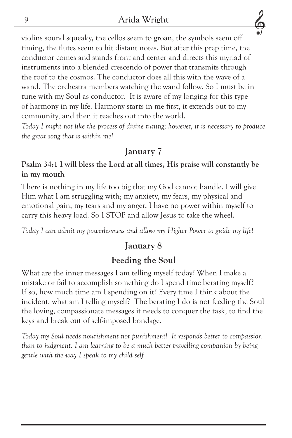violins sound squeaky, the cellos seem to groan, the symbols seem off timing, the flutes seem to hit distant notes. But after this prep time, the conductor comes and stands front and center and directs this myriad of instruments into a blended crescendo of power that transmits through the roof to the cosmos. The conductor does all this with the wave of a wand. The orchestra members watching the wand follow. So I must be in tune with my Soul as conductor. It is aware of my longing for this type of harmony in my life. Harmony starts in me first, it extends out to my community, and then it reaches out into the world.

*Today I might not like the process of divine tuning; however, it is necessary to produce the great song that is within me!*

#### January 7

#### Psalm 34:1 I will bless the Lord at all times, His praise will constantly be in my mouth

There is nothing in my life too big that my God cannot handle. I will give Him what I am struggling with; my anxiety, my fears, my physical and emotional pain, my tears and my anger. I have no power within myself to carry this heavy load. So I STOP and allow Jesus to take the wheel.

*Today I can admit my powerlessness and allow my Higher Power to guide my life!*

#### January 8

## Feeding the Soul

What are the inner messages I am telling myself today? When I make a mistake or fail to accomplish something do I spend time berating myself? If so, how much time am I spending on it? Every time I think about the incident, what am I telling myself? The berating I do is not feeding the Soul the loving, compassionate messages it needs to conquer the task, to find the keys and break out of self-imposed bondage.

*Today my Soul needs nourishment not punishment! It responds better to compassion than to judgment. I am learning to be a much better travelling companion by being gentle with the way I speak to my child self.*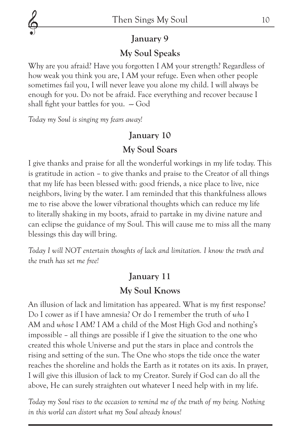

#### January 9

#### My Soul Speaks

Why are you afraid? Have you forgotten I AM your strength? Regardless of how weak you think you are, I AM your refuge. Even when other people sometimes fail you, I will never leave you alone my child. I will always be enough for you. Do not be afraid. Face everything and recover because I shall fight your battles for you.  $-\text{God}$ 

*Today my Soul is singing my fears away!*

#### January 10

#### My Soul Soars

I give thanks and praise for all the wonderful workings in my life today. This is gratitude in action – to give thanks and praise to the Creator of all things that my life has been blessed with: good friends, a nice place to live, nice neighbors, living by the water. I am reminded that this thankfulness allows me to rise above the lower vibrational thoughts which can reduce my life to literally shaking in my boots, afraid to partake in my divine nature and can eclipse the guidance of my Soul. This will cause me to miss all the many blessings this day will bring.

*Today I will NOT entertain thoughts of lack and limitation. I know the truth and the truth has set me free!*

# January 11

## My Soul Knows

An illusion of lack and limitation has appeared. What is my first response? Do I cower as if I have amnesia? Or do I remember the truth of *who* I AM and *whose* I AM? I AM a child of the Most High God and nothing's impossible – all things are possible if I give the situation to the one who created this whole Universe and put the stars in place and controls the rising and setting of the sun. The One who stops the tide once the water reaches the shoreline and holds the Earth as it rotates on its axis. In prayer, I will give this illusion of lack to my Creator. Surely if God can do all the above, He can surely straighten out whatever I need help with in my life.

*Today my Soul rises to the occasion to remind me of the truth of my being. Nothing in this world can distort what my Soul already knows!*